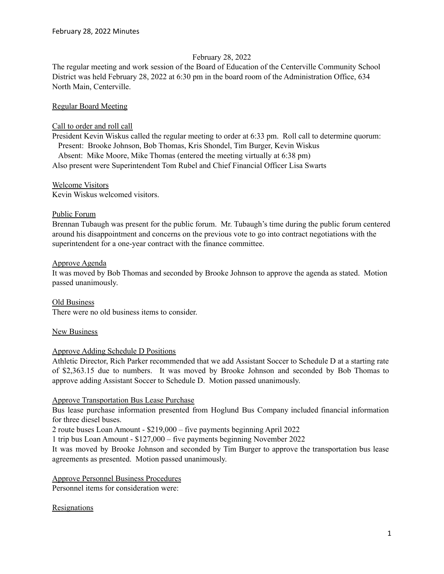### February 28, 2022

The regular meeting and work session of the Board of Education of the Centerville Community School District was held February 28, 2022 at 6:30 pm in the board room of the Administration Office, 634 North Main, Centerville.

### Regular Board Meeting

### Call to order and roll call

President Kevin Wiskus called the regular meeting to order at 6:33 pm. Roll call to determine quorum: Present: Brooke Johnson, Bob Thomas, Kris Shondel, Tim Burger, Kevin Wiskus Absent: Mike Moore, Mike Thomas (entered the meeting virtually at 6:38 pm) Also present were Superintendent Tom Rubel and Chief Financial Officer Lisa Swarts

#### Welcome Visitors

Kevin Wiskus welcomed visitors.

### Public Forum

Brennan Tubaugh was present for the public forum. Mr. Tubaugh's time during the public forum centered around his disappointment and concerns on the previous vote to go into contract negotiations with the superintendent for a one-year contract with the finance committee.

### Approve Agenda

It was moved by Bob Thomas and seconded by Brooke Johnson to approve the agenda as stated. Motion passed unanimously.

Old Business There were no old business items to consider.

### New Business

### Approve Adding Schedule D Positions

Athletic Director, Rich Parker recommended that we add Assistant Soccer to Schedule D at a starting rate of \$2,363.15 due to numbers. It was moved by Brooke Johnson and seconded by Bob Thomas to approve adding Assistant Soccer to Schedule D. Motion passed unanimously.

### Approve Transportation Bus Lease Purchase

Bus lease purchase information presented from Hoglund Bus Company included financial information for three diesel buses.

2 route buses Loan Amount - \$219,000 – five payments beginning April 2022

1 trip bus Loan Amount - \$127,000 – five payments beginning November 2022

It was moved by Brooke Johnson and seconded by Tim Burger to approve the transportation bus lease agreements as presented. Motion passed unanimously.

# Approve Personnel Business Procedures

Personnel items for consideration were:

# Resignations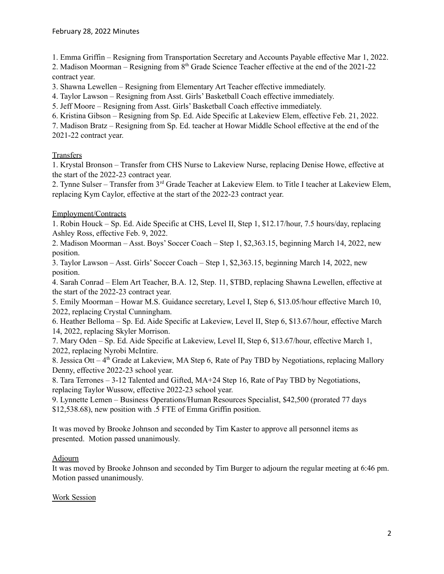1. Emma Griffin – Resigning from Transportation Secretary and Accounts Payable effective Mar 1, 2022.

2. Madison Moorman – Resigning from  $8<sup>th</sup>$  Grade Science Teacher effective at the end of the 2021-22 contract year.

3. Shawna Lewellen – Resigning from Elementary Art Teacher effective immediately.

4. Taylor Lawson – Resigning from Asst. Girls' Basketball Coach effective immediately.

5. Jeff Moore – Resigning from Asst. Girls' Basketball Coach effective immediately.

6. Kristina Gibson – Resigning from Sp. Ed. Aide Specific at Lakeview Elem, effective Feb. 21, 2022.

7. Madison Bratz – Resigning from Sp. Ed. teacher at Howar Middle School effective at the end of the 2021-22 contract year.

# **Transfers**

1. Krystal Bronson – Transfer from CHS Nurse to Lakeview Nurse, replacing Denise Howe, effective at the start of the 2022-23 contract year.

2. Tynne Sulser – Transfer from 3<sup>rd</sup> Grade Teacher at Lakeview Elem. to Title I teacher at Lakeview Elem, replacing Kym Caylor, effective at the start of the 2022-23 contract year.

### Employment/Contracts

1. Robin Houck – Sp. Ed. Aide Specific at CHS, Level II, Step 1, \$12.17/hour, 7.5 hours/day, replacing Ashley Ross, effective Feb. 9, 2022.

2. Madison Moorman – Asst. Boys' Soccer Coach – Step 1, \$2,363.15, beginning March 14, 2022, new position.

3. Taylor Lawson – Asst. Girls' Soccer Coach – Step 1, \$2,363.15, beginning March 14, 2022, new position.

4. Sarah Conrad – Elem Art Teacher, B.A. 12, Step. 11, \$TBD, replacing Shawna Lewellen, effective at the start of the 2022-23 contract year.

5. Emily Moorman – Howar M.S. Guidance secretary, Level I, Step 6, \$13.05/hour effective March 10, 2022, replacing Crystal Cunningham.

6. Heather Belloma – Sp. Ed. Aide Specific at Lakeview, Level II, Step 6, \$13.67/hour, effective March 14, 2022, replacing Skyler Morrison.

7. Mary Oden – Sp. Ed. Aide Specific at Lakeview, Level II, Step 6, \$13.67/hour, effective March 1, 2022, replacing Nyrobi McIntire.

8. Jessica Ott – 4<sup>th</sup> Grade at Lakeview, MA Step 6, Rate of Pay TBD by Negotiations, replacing Mallory Denny, effective 2022-23 school year.

8. Tara Terrones – 3-12 Talented and Gifted, MA+24 Step 16, Rate of Pay TBD by Negotiations, replacing Taylor Wussow, effective 2022-23 school year.

9. Lynnette Lemen – Business Operations/Human Resources Specialist, \$42,500 (prorated 77 days \$12,538.68), new position with .5 FTE of Emma Griffin position.

It was moved by Brooke Johnson and seconded by Tim Kaster to approve all personnel items as presented. Motion passed unanimously.

# Adjourn

It was moved by Brooke Johnson and seconded by Tim Burger to adjourn the regular meeting at 6:46 pm. Motion passed unanimously.

### Work Session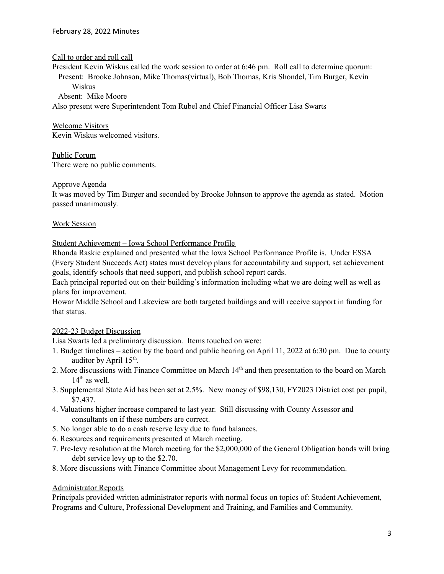Call to order and roll call

President Kevin Wiskus called the work session to order at 6:46 pm. Roll call to determine quorum: Present: Brooke Johnson, Mike Thomas(virtual), Bob Thomas, Kris Shondel, Tim Burger, Kevin Wiskus

Absent: Mike Moore

Also present were Superintendent Tom Rubel and Chief Financial Officer Lisa Swarts

Welcome Visitors Kevin Wiskus welcomed visitors.

Public Forum There were no public comments.

### Approve Agenda

It was moved by Tim Burger and seconded by Brooke Johnson to approve the agenda as stated. Motion passed unanimously.

# Work Session

Student Achievement – Iowa School Performance Profile

Rhonda Raskie explained and presented what the Iowa School Performance Profile is. Under ESSA (Every Student Succeeds Act) states must develop plans for accountability and support, set achievement goals, identify schools that need support, and publish school report cards.

Each principal reported out on their building's information including what we are doing well as well as plans for improvement.

Howar Middle School and Lakeview are both targeted buildings and will receive support in funding for that status.

# 2022-23 Budget Discussion

Lisa Swarts led a preliminary discussion. Items touched on were:

- 1. Budget timelines action by the board and public hearing on April 11, 2022 at 6:30 pm. Due to county auditor by April  $15<sup>th</sup>$ .
- 2. More discussions with Finance Committee on March 14<sup>th</sup> and then presentation to the board on March 14<sup>th</sup> as well.
- 3. Supplemental State Aid has been set at 2.5%. New money of \$98,130, FY2023 District cost per pupil, \$7,437.
- 4. Valuations higher increase compared to last year. Still discussing with County Assessor and consultants on if these numbers are correct.
- 5. No longer able to do a cash reserve levy due to fund balances.
- 6. Resources and requirements presented at March meeting.
- 7. Pre-levy resolution at the March meeting for the \$2,000,000 of the General Obligation bonds will bring debt service levy up to the \$2.70.
- 8. More discussions with Finance Committee about Management Levy for recommendation.

### Administrator Reports

Principals provided written administrator reports with normal focus on topics of: Student Achievement, Programs and Culture, Professional Development and Training, and Families and Community.